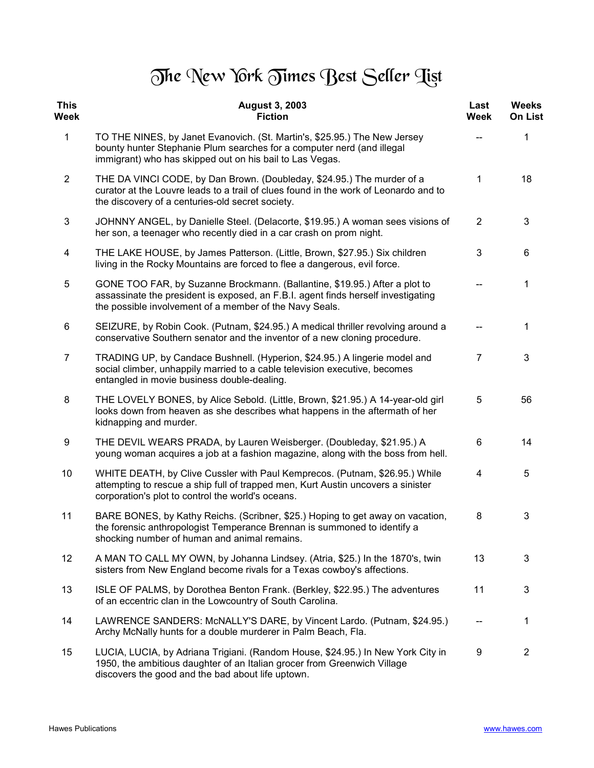## The New York Times Best Seller Tist

| <b>This</b><br>Week     | <b>August 3, 2003</b><br><b>Fiction</b>                                                                                                                                                                                    | Last<br><b>Week</b>     | <b>Weeks</b><br><b>On List</b> |
|-------------------------|----------------------------------------------------------------------------------------------------------------------------------------------------------------------------------------------------------------------------|-------------------------|--------------------------------|
| $\mathbf{1}$            | TO THE NINES, by Janet Evanovich. (St. Martin's, \$25.95.) The New Jersey<br>bounty hunter Stephanie Plum searches for a computer nerd (and illegal<br>immigrant) who has skipped out on his bail to Las Vegas.            |                         | 1                              |
| $\overline{2}$          | THE DA VINCI CODE, by Dan Brown. (Doubleday, \$24.95.) The murder of a<br>curator at the Louvre leads to a trail of clues found in the work of Leonardo and to<br>the discovery of a centuries-old secret society.         | 1                       | 18                             |
| 3                       | JOHNNY ANGEL, by Danielle Steel. (Delacorte, \$19.95.) A woman sees visions of<br>her son, a teenager who recently died in a car crash on prom night.                                                                      | $\overline{2}$          | 3                              |
| $\overline{\mathbf{4}}$ | THE LAKE HOUSE, by James Patterson. (Little, Brown, \$27.95.) Six children<br>living in the Rocky Mountains are forced to flee a dangerous, evil force.                                                                    | 3                       | 6                              |
| 5                       | GONE TOO FAR, by Suzanne Brockmann. (Ballantine, \$19.95.) After a plot to<br>assassinate the president is exposed, an F.B.I. agent finds herself investigating<br>the possible involvement of a member of the Navy Seals. |                         | 1                              |
| 6                       | SEIZURE, by Robin Cook. (Putnam, \$24.95.) A medical thriller revolving around a<br>conservative Southern senator and the inventor of a new cloning procedure.                                                             |                         | 1                              |
| $\overline{7}$          | TRADING UP, by Candace Bushnell. (Hyperion, \$24.95.) A lingerie model and<br>social climber, unhappily married to a cable television executive, becomes<br>entangled in movie business double-dealing.                    | $\overline{7}$          | 3                              |
| 8                       | THE LOVELY BONES, by Alice Sebold. (Little, Brown, \$21.95.) A 14-year-old girl<br>looks down from heaven as she describes what happens in the aftermath of her<br>kidnapping and murder.                                  | 5                       | 56                             |
| 9                       | THE DEVIL WEARS PRADA, by Lauren Weisberger. (Doubleday, \$21.95.) A<br>young woman acquires a job at a fashion magazine, along with the boss from hell.                                                                   | 6                       | 14                             |
| 10                      | WHITE DEATH, by Clive Cussler with Paul Kemprecos. (Putnam, \$26.95.) While<br>attempting to rescue a ship full of trapped men, Kurt Austin uncovers a sinister<br>corporation's plot to control the world's oceans.       | $\overline{\mathbf{4}}$ | 5                              |
| 11                      | BARE BONES, by Kathy Reichs. (Scribner, \$25.) Hoping to get away on vacation,<br>the forensic anthropologist Temperance Brennan is summoned to identify a<br>shocking number of human and animal remains.                 | 8                       | 3                              |
| 12                      | A MAN TO CALL MY OWN, by Johanna Lindsey. (Atria, \$25.) In the 1870's, twin<br>sisters from New England become rivals for a Texas cowboy's affections.                                                                    | 13                      | 3                              |
| 13                      | ISLE OF PALMS, by Dorothea Benton Frank. (Berkley, \$22.95.) The adventures<br>of an eccentric clan in the Lowcountry of South Carolina.                                                                                   | 11                      | 3                              |
| 14                      | LAWRENCE SANDERS: McNALLY'S DARE, by Vincent Lardo. (Putnam, \$24.95.)<br>Archy McNally hunts for a double murderer in Palm Beach, Fla.                                                                                    |                         | 1                              |
| 15                      | LUCIA, LUCIA, by Adriana Trigiani. (Random House, \$24.95.) In New York City in<br>1950, the ambitious daughter of an Italian grocer from Greenwich Village<br>discovers the good and the bad about life uptown.           | 9                       | $\overline{2}$                 |